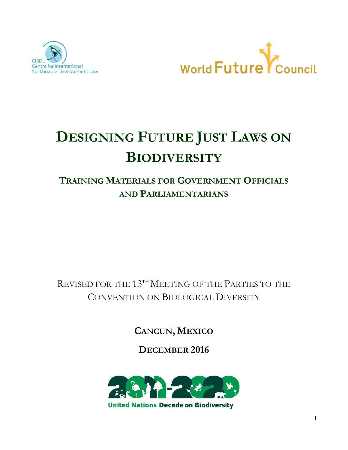



# DESIGNING FUTURE JUST LAWS ON **BIODIVERSITY**

# TRAINING MATERIALS FOR GOVERNMENT OFFICIALS AND PARLIAMENTARIANS

REVISED FOR THE  $13^{\text{th}}$  MEETING OF THE PARTIES TO THE CONVENTION ON BIOLOGICAL DIVERSITY

CANCUN, MEXICO

DECEMBER 2016

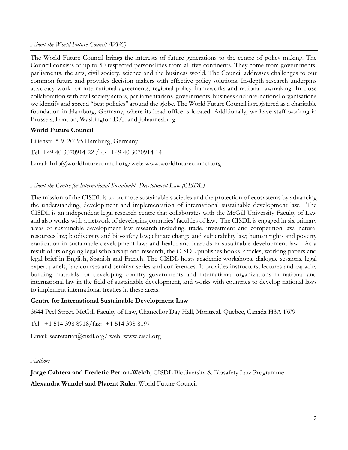#### About the World Future Council (WFC)

The World Future Council brings the interests of future generations to the centre of policy making. The Council consists of up to 50 respected personalities from all five continents. They come from governments, parliaments, the arts, civil society, science and the business world. The Council addresses challenges to our common future and provides decision makers with effective policy solutions. In-depth research underpins advocacy work for international agreements, regional policy frameworks and national lawmaking. In close collaboration with civil society actors, parliamentarians, governments, business and international organisations we identify and spread "best policies" around the globe. The World Future Council is registered as a charitable foundation in Hamburg, Germany, where its head office is located. Additionally, we have staff working in Brussels, London, Washington D.C. and Johannesburg.

#### World Future Council

Lilienstr. 5-9, 20095 Hamburg, Germany

Tel: +49 40 3070914-22 /fax: +49 40 3070914-14

Email: Info@worldfuturecouncil.org/web: www.worldfuturecouncil.org

#### About the Centre for International Sustainable Development Law (CISDL)

The mission of the CISDL is to promote sustainable societies and the protection of ecosystems by advancing the understanding, development and implementation of international sustainable development law. The CISDL is an independent legal research centre that collaborates with the McGill University Faculty of Law and also works with a network of developing countries' faculties of law. The CISDL is engaged in six primary areas of sustainable development law research including: trade, investment and competition law; natural resources law; biodiversity and bio-safety law; climate change and vulnerability law; human rights and poverty eradication in sustainable development law; and health and hazards in sustainable development law. As a result of its ongoing legal scholarship and research, the CISDL publishes books, articles, working papers and legal brief in English, Spanish and French. The CISDL hosts academic workshops, dialogue sessions, legal expert panels, law courses and seminar series and conferences. It provides instructors, lectures and capacity building materials for developing country governments and international organizations in national and international law in the field of sustainable development, and works with countries to develop national laws to implement international treaties in these areas.

#### Centre for International Sustainable Development Law

3644 Peel Street, McGill Faculty of Law, Chancellor Day Hall, Montreal, Quebec, Canada H3A 1W9

Tel: +1 514 398 8918/fax: +1 514 398 8197

Email: secretariat@cisdl.org/ web: www.cisdl.org

Authors

Jorge Cabrera and Frederic Perron-Welch, CISDL Biodiversity & Biosafety Law Programme

Alexandra Wandel and Plarent Ruka, World Future Council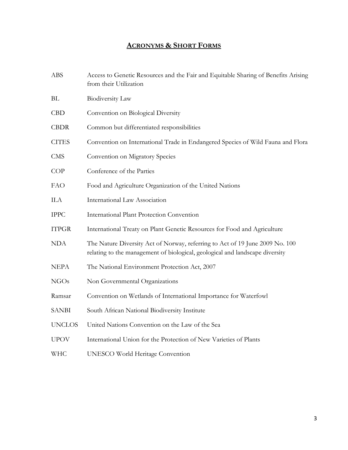# ACRONYMS & SHORT FORMS

| <b>ABS</b>    | Access to Genetic Resources and the Fair and Equitable Sharing of Benefits Arising<br>from their Utilization                                                 |  |
|---------------|--------------------------------------------------------------------------------------------------------------------------------------------------------------|--|
| BL            | <b>Biodiversity Law</b>                                                                                                                                      |  |
| CBD           | Convention on Biological Diversity                                                                                                                           |  |
| <b>CBDR</b>   | Common but differentiated responsibilities                                                                                                                   |  |
| <b>CITES</b>  | Convention on International Trade in Endangered Species of Wild Fauna and Flora                                                                              |  |
| <b>CMS</b>    | Convention on Migratory Species                                                                                                                              |  |
| COP           | Conference of the Parties                                                                                                                                    |  |
| <b>FAO</b>    | Food and Agriculture Organization of the United Nations                                                                                                      |  |
| ILA           | <b>International Law Association</b>                                                                                                                         |  |
| <b>IPPC</b>   | International Plant Protection Convention                                                                                                                    |  |
| <b>ITPGR</b>  | International Treaty on Plant Genetic Resources for Food and Agriculture                                                                                     |  |
| <b>NDA</b>    | The Nature Diversity Act of Norway, referring to Act of 19 June 2009 No. 100<br>relating to the management of biological, geological and landscape diversity |  |
| <b>NEPA</b>   | The National Environment Protection Act, 2007                                                                                                                |  |
| <b>NGOs</b>   | Non Governmental Organizations                                                                                                                               |  |
| Ramsar        | Convention on Wetlands of International Importance for Waterfowl                                                                                             |  |
| <b>SANBI</b>  | South African National Biodiversity Institute                                                                                                                |  |
| <b>UNCLOS</b> | United Nations Convention on the Law of the Sea                                                                                                              |  |
| <b>UPOV</b>   | International Union for the Protection of New Varieties of Plants                                                                                            |  |
| <b>WHC</b>    | <b>UNESCO World Heritage Convention</b>                                                                                                                      |  |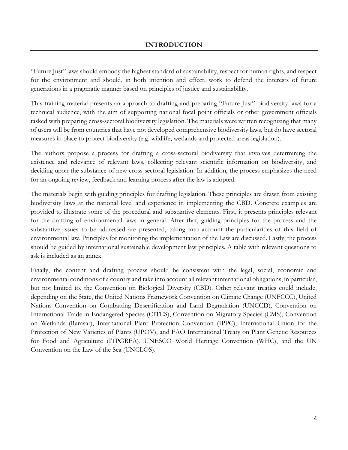"Future Just" laws should embody the highest standard of sustainability, respect for human rights, and respect for the environment and should, in both intention and effect, work to defend the interests of future generations in a pragmatic manner based on principles of justice and sustainability.

This training material presents an approach to drafting and preparing "Future Just" biodiversity laws for a technical audience, with the aim of supporting national focal point officials or other government officials tasked with preparing cross-sectoral biodiversity legislation. The materials were written recognizing that many of users will be from countries that have not developed comprehensive biodiversity laws, but do have sectoral measures in place to protect biodiversity (e.g. wildlife, wetlands and protected areas legislation).

The authors propose a process for drafting a cross-sectoral biodiversity that involves determining the existence and relevance of relevant laws, collecting relevant scientific information on biodiversity, and deciding upon the substance of new cross-sectoral legislation. In addition, the process emphasizes the need for an ongoing review, feedback and learning process after the law is adopted.

The materials begin with guiding principles for drafting legislation. These principles are drawn from existing biodiversity laws at the national level and experience in implementing the CBD. Concrete examples are provided to illustrate some of the procedural and substantive elements. First, it presents principles relevant for the drafting of environmental laws in general. After that, guiding principles for the process and the substantive issues to be addressed are presented, taking into account the particularities of this field of environmental law. Principles for monitoring the implementation of the Law are discussed. Lastly, the process should be guided by international sustainable development law principles. A table with relevant questions to ask is included as an annex.

Finally, the content and drafting process should be consistent with the legal, social, economic and environmental conditions of a country and take into account all relevant international obligations, in particular, but not limited to, the Convention on Biological Diversity (CBD). Other relevant treaties could include, depending on the State, the United Nations Framework Convention on Climate Change (UNFCCC), United Nations Convention on Combatting Desertification and Land Degradation (UNCCD), Convention on International Trade in Endangered Species (CITES), Convention on Migratory Species (CMS), Convention on Wetlands (Ramsar), International Plant Protection Convention (IPPC), International Union for the Protection of New Varieties of Plants (UPOV), and FAO International Treaty on Plant Genetic Resources for Food and Agriculture (ITPGRFA), UNESCO World Heritage Convention (WHC), and the UN Convention on the Law of the Sea (UNCLOS).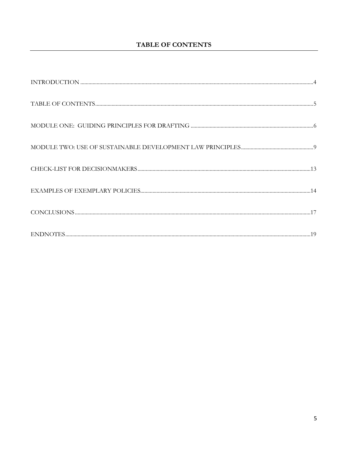# **TABLE OF CONTENTS**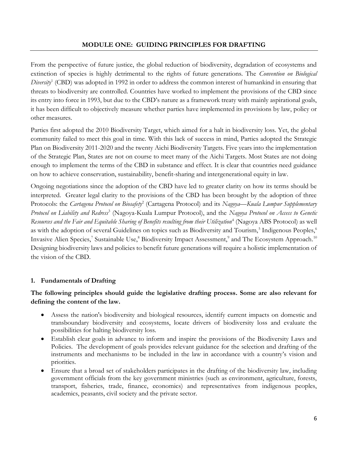#### MODULE ONE: GUIDING PRINCIPLES FOR DRAFTING

From the perspective of future justice, the global reduction of biodiversity, degradation of ecosystems and extinction of species is highly detrimental to the rights of future generations. The Convention on Biological Diversity<sup>1</sup> (CBD) was adopted in 1992 in order to address the common interest of humankind in ensuring that threats to biodiversity are controlled. Countries have worked to implement the provisions of the CBD since its entry into force in 1993, but due to the CBD's nature as a framework treaty with mainly aspirational goals, it has been difficult to objectively measure whether parties have implemented its provisions by law, policy or other measures.

Parties first adopted the 2010 Biodiversity Target, which aimed for a halt in biodiversity loss. Yet, the global community failed to meet this goal in time. With this lack of success in mind, Parties adopted the Strategic Plan on Biodiversity 2011-2020 and the twenty Aichi Biodiversity Targets. Five years into the implementation of the Strategic Plan, States are not on course to meet many of the Aichi Targets. Most States are not doing enough to implement the terms of the CBD in substance and effect. It is clear that countries need guidance on how to achieve conservation, sustainability, benefit-sharing and intergenerational equity in law.

Ongoing negotiations since the adoption of the CBD have led to greater clarity on how its terms should be interpreted. Greater legal clarity to the provisions of the CBD has been brought by the adoption of three Protocols: the Cartagena Protocol on Biosafety<sup>2</sup> (Cartagena Protocol) and its Nagoya—Kuala Lumpur Supplementary Protocol on Liability and Redress<sup>3</sup> (Nagoya-Kuala Lumpur Protocol), and the Nagoya Protocol on Access to Genetic Resources and the Fair and Equitable Sharing of Benefits resulting from their Utilization<sup>4</sup> (Nagoya ABS Protocol) as well as with the adoption of several Guidelines on topics such as Biodiversity and Tourism,<sup>5</sup> Indigenous Peoples,<sup>6</sup> Invasive Alien Species,<sup>7</sup> Sustainable Use,<sup>8</sup> Biodiversity Impact Assessment,<sup>9</sup> and The Ecosystem Approach.<sup>10</sup> Designing biodiversity laws and policies to benefit future generations will require a holistic implementation of the vision of the CBD.

# 1. Fundamentals of Drafting

# The following principles should guide the legislative drafting process. Some are also relevant for defining the content of the law.

- Assess the nation's biodiversity and biological resources, identify current impacts on domestic and transboundary biodiversity and ecosystems, locate drivers of biodiversity loss and evaluate the possibilities for halting biodiversity loss.
- Establish clear goals in advance to inform and inspire the provisions of the Biodiversity Laws and Policies. The development of goals provides relevant guidance for the selection and drafting of the instruments and mechanisms to be included in the law in accordance with a country's vision and priorities.
- Ensure that a broad set of stakeholders participates in the drafting of the biodiversity law, including government officials from the key government ministries (such as environment, agriculture, forests, transport, fisheries, trade, finance, economics) and representatives from indigenous peoples, academics, peasants, civil society and the private sector.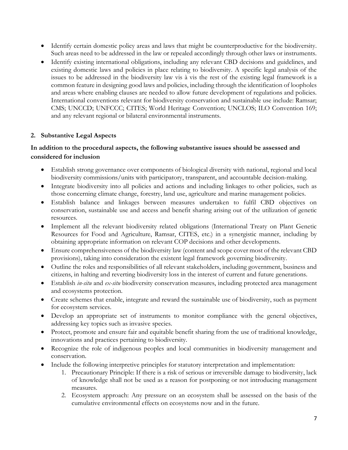- Identify certain domestic policy areas and laws that might be counterproductive for the biodiversity. Such areas need to be addressed in the law or repealed accordingly through other laws or instruments.
- Identify existing international obligations, including any relevant CBD decisions and guidelines, and existing domestic laws and policies in place relating to biodiversity. A specific legal analysis of the issues to be addressed in the biodiversity law vis à vis the rest of the existing legal framework is a common feature in designing good laws and policies, including through the identification of loopholes and areas where enabling clauses are needed to allow future development of regulations and policies. International conventions relevant for biodiversity conservation and sustainable use include: Ramsar; CMS; UNCCD; UNFCCC; CITES; World Heritage Convention; UNCLOS; ILO Convention 169; and any relevant regional or bilateral environmental instruments.

# 2. Substantive Legal Aspects

#### In addition to the procedural aspects, the following substantive issues should be assessed and considered for inclusion

- Establish strong governance over components of biological diversity with national, regional and local biodiversity commissions/units with participatory, transparent, and accountable decision-making.
- Integrate biodiversity into all policies and actions and including linkages to other policies, such as those concerning climate change, forestry, land use, agriculture and marine management policies.
- Establish balance and linkages between measures undertaken to fulfil CBD objectives on conservation, sustainable use and access and benefit sharing arising out of the utilization of genetic resources.
- Implement all the relevant biodiversity related obligations (International Treaty on Plant Genetic Resources for Food and Agriculture, Ramsar, CITES, etc.) in a synergistic manner, including by obtaining appropriate information on relevant COP decisions and other developments.
- Ensure comprehensiveness of the biodiversity law (content and scope cover most of the relevant CBD provisions), taking into consideration the existent legal framework governing biodiversity.
- Outline the roles and responsibilities of all relevant stakeholders, including government, business and citizens, in halting and reverting biodiversity loss in the interest of current and future generations.
- Establish *in-situ* and *ex-situ* biodiversity conservation measures, including protected area management and ecosystems protection.
- Create schemes that enable, integrate and reward the sustainable use of biodiversity, such as payment for ecosystem services.
- Develop an appropriate set of instruments to monitor compliance with the general objectives, addressing key topics such as invasive species.
- Protect, promote and ensure fair and equitable benefit sharing from the use of traditional knowledge, innovations and practices pertaining to biodiversity.
- Recognize the role of indigenous peoples and local communities in biodiversity management and conservation.
- Include the following interpretive principles for statutory interpretation and implementation:
	- 1. Precautionary Principle: If there is a risk of serious or irreversible damage to biodiversity, lack of knowledge shall not be used as a reason for postponing or not introducing management measures.
	- 2. Ecosystem approach: Any pressure on an ecosystem shall be assessed on the basis of the cumulative environmental effects on ecosystems now and in the future.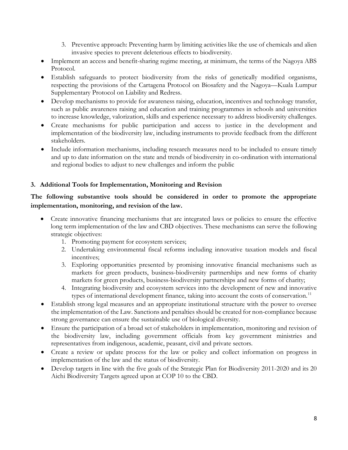- 3. Preventive approach: Preventing harm by limiting activities like the use of chemicals and alien invasive species to prevent deleterious effects to biodiversity.
- Implement an access and benefit-sharing regime meeting, at minimum, the terms of the Nagoya ABS Protocol.
- Establish safeguards to protect biodiversity from the risks of genetically modified organisms, respecting the provisions of the Cartagena Protocol on Biosafety and the Nagoya—Kuala Lumpur Supplementary Protocol on Liability and Redress.
- Develop mechanisms to provide for awareness raising, education, incentives and technology transfer, such as public awareness raising and education and training programmes in schools and universities to increase knowledge, valorization, skills and experience necessary to address biodiversity challenges.
- Create mechanisms for public participation and access to justice in the development and implementation of the biodiversity law, including instruments to provide feedback from the different stakeholders.
- Include information mechanisms, including research measures need to be included to ensure timely and up to date information on the state and trends of biodiversity in co-ordination with international and regional bodies to adjust to new challenges and inform the public

# 3. Additional Tools for Implementation, Monitoring and Revision

# The following substantive tools should be considered in order to promote the appropriate implementation, monitoring, and revision of the law.

- Create innovative financing mechanisms that are integrated laws or policies to ensure the effective long term implementation of the law and CBD objectives. These mechanisms can serve the following strategic objectives:
	- 1. Promoting payment for ecosystem services;
	- 2. Undertaking environmental fiscal reforms including innovative taxation models and fiscal incentives;
	- 3. Exploring opportunities presented by promising innovative financial mechanisms such as markets for green products, business-biodiversity partnerships and new forms of charity markets for green products, business-biodiversity partnerships and new forms of charity;
	- 4. Integrating biodiversity and ecosystem services into the development of new and innovative types of international development finance, taking into account the costs of conservation.<sup>11</sup>
- Establish strong legal measures and an appropriate institutional structure with the power to oversee the implementation of the Law. Sanctions and penalties should be created for non-compliance because strong governance can ensure the sustainable use of biological diversity.
- Ensure the participation of a broad set of stakeholders in implementation, monitoring and revision of the biodiversity law, including government officials from key government ministries and representatives from indigenous, academic, peasant, civil and private sectors.
- Create a review or update process for the law or policy and collect information on progress in implementation of the law and the status of biodiversity.
- Develop targets in line with the five goals of the Strategic Plan for Biodiversity 2011-2020 and its 20 Aichi Biodiversity Targets agreed upon at COP 10 to the CBD.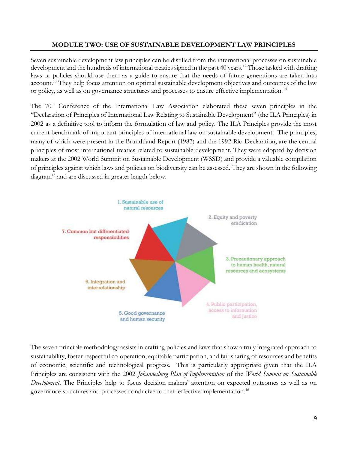#### MODULE TWO: USE OF SUSTAINABLE DEVELOPMENT LAW PRINCIPLES

Seven sustainable development law principles can be distilled from the international processes on sustainable development and the hundreds of international treaties signed in the past 40 years.<sup>12</sup> Those tasked with drafting laws or policies should use them as a guide to ensure that the needs of future generations are taken into account.<sup>13</sup> They help focus attention on optimal sustainable development objectives and outcomes of the law or policy, as well as on governance structures and processes to ensure effective implementation.<sup>14</sup>

The 70<sup>th</sup> Conference of the International Law Association elaborated these seven principles in the "Declaration of Principles of International Law Relating to Sustainable Development" (the ILA Principles) in 2002 as a definitive tool to inform the formulation of law and policy. The ILA Principles provide the most current benchmark of important principles of international law on sustainable development. The principles, many of which were present in the Brundtland Report (1987) and the 1992 Rio Declaration, are the central principles of most international treaties related to sustainable development. They were adopted by decision makers at the 2002 World Summit on Sustainable Development (WSSD) and provide a valuable compilation of principles against which laws and policies on biodiversity can be assessed. They are shown in the following diagram<sup>15</sup> and are discussed in greater length below.



The seven principle methodology assists in crafting policies and laws that show a truly integrated approach to sustainability, foster respectful co-operation, equitable participation, and fair sharing of resources and benefits of economic, scientific and technological progress. This is particularly appropriate given that the ILA Principles are consistent with the 2002 Johannesburg Plan of Implementation of the World Summit on Sustainable Development. The Principles help to focus decision makers' attention on expected outcomes as well as on governance structures and processes conducive to their effective implementation.16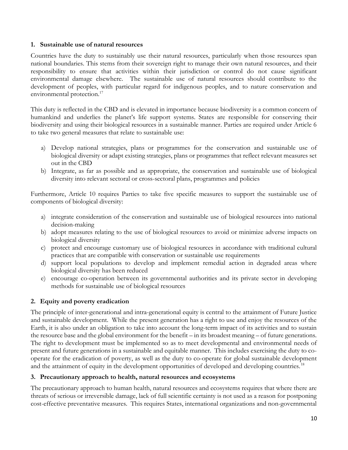#### 1. Sustainable use of natural resources

Countries have the duty to sustainably use their natural resources, particularly when those resources span national boundaries. This stems from their sovereign right to manage their own natural resources, and their responsibility to ensure that activities within their jurisdiction or control do not cause significant environmental damage elsewhere. The sustainable use of natural resources should contribute to the development of peoples, with particular regard for indigenous peoples, and to nature conservation and environmental protection.<sup>17</sup>

This duty is reflected in the CBD and is elevated in importance because biodiversity is a common concern of humankind and underlies the planet's life support systems. States are responsible for conserving their biodiversity and using their biological resources in a sustainable manner. Parties are required under Article 6 to take two general measures that relate to sustainable use:

- a) Develop national strategies, plans or programmes for the conservation and sustainable use of biological diversity or adapt existing strategies, plans or programmes that reflect relevant measures set out in the CBD
- b) Integrate, as far as possible and as appropriate, the conservation and sustainable use of biological diversity into relevant sectoral or cross-sectoral plans, programmes and policies

Furthermore, Article 10 requires Parties to take five specific measures to support the sustainable use of components of biological diversity:

- a) integrate consideration of the conservation and sustainable use of biological resources into national decision-making
- b) adopt measures relating to the use of biological resources to avoid or minimize adverse impacts on biological diversity
- c) protect and encourage customary use of biological resources in accordance with traditional cultural practices that are compatible with conservation or sustainable use requirements
- d) support local populations to develop and implement remedial action in degraded areas where biological diversity has been reduced
- e) encourage co-operation between its governmental authorities and its private sector in developing methods for sustainable use of biological resources

# 2. Equity and poverty eradication

The principle of inter-generational and intra-generational equity is central to the attainment of Future Justice and sustainable development. While the present generation has a right to use and enjoy the resources of the Earth, it is also under an obligation to take into account the long-term impact of its activities and to sustain the resource base and the global environment for the benefit – in its broadest meaning – of future generations. The right to development must be implemented so as to meet developmental and environmental needs of present and future generations in a sustainable and equitable manner. This includes exercising the duty to cooperate for the eradication of poverty, as well as the duty to co-operate for global sustainable development and the attainment of equity in the development opportunities of developed and developing countries.<sup>18</sup>

#### 3. Precautionary approach to health, natural resources and ecosystems

The precautionary approach to human health, natural resources and ecosystems requires that where there are threats of serious or irreversible damage, lack of full scientific certainty is not used as a reason for postponing cost-effective preventative measures. This requires States, international organizations and non-governmental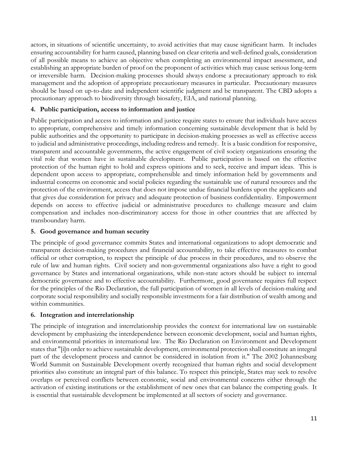actors, in situations of scientific uncertainty, to avoid activities that may cause significant harm. It includes ensuring accountability for harm caused, planning based on clear criteria and well-defined goals, consideration of all possible means to achieve an objective when completing an environmental impact assessment, and establishing an appropriate burden of proof on the proponent of activities which may cause serious long-term or irreversible harm. Decision-making processes should always endorse a precautionary approach to risk management and the adoption of appropriate precautionary measures in particular. Precautionary measures should be based on up-to-date and independent scientific judgment and be transparent. The CBD adopts a precautionary approach to biodiversity through biosafety, EIA, and national planning.

#### 4. Public participation, access to information and justice

Public participation and access to information and justice require states to ensure that individuals have access to appropriate, comprehensive and timely information concerning sustainable development that is held by public authorities and the opportunity to participate in decision-making processes as well as effective access to judicial and administrative proceedings, including redress and remedy. It is a basic condition for responsive, transparent and accountable governments, the active engagement of civil society organizations ensuring the vital role that women have in sustainable development. Public participation is based on the effective protection of the human right to hold and express opinions and to seek, receive and impart ideas. This is dependent upon access to appropriate, comprehensible and timely information held by governments and industrial concerns on economic and social policies regarding the sustainable use of natural resources and the protection of the environment, access that does not impose undue financial burdens upon the applicants and that gives due consideration for privacy and adequate protection of business confidentiality. Empowerment depends on access to effective judicial or administrative procedures to challenge measure and claim compensation and includes non-discriminatory access for those in other countries that are affected by transboundary harm.

#### 5. Good governance and human security

The principle of good governance commits States and international organizations to adopt democratic and transparent decision-making procedures and financial accountability, to take effective measures to combat official or other corruption, to respect the principle of due process in their procedures, and to observe the rule of law and human rights. Civil society and non-governmental organizations also have a right to good governance by States and international organizations, while non-state actors should be subject to internal democratic governance and to effective accountability. Furthermore, good governance requires full respect for the principles of the Rio Declaration, the full participation of women in all levels of decision-making and corporate social responsibility and socially responsible investments for a fair distribution of wealth among and within communities.

#### 6. Integration and interrelationship

The principle of integration and interrelationship provides the context for international law on sustainable development by emphasizing the interdependence between economic development, social and human rights, and environmental priorities in international law. The Rio Declaration on Environment and Development states that "[i]n order to achieve sustainable development, environmental protection shall constitute an integral part of the development process and cannot be considered in isolation from it." The 2002 Johannesburg World Summit on Sustainable Development overtly recognized that human rights and social development priorities also constitute an integral part of this balance. To respect this principle, States may seek to resolve overlaps or perceived conflicts between economic, social and environmental concerns either through the activation of existing institutions or the establishment of new ones that can balance the competing goals. It is essential that sustainable development be implemented at all sectors of society and governance.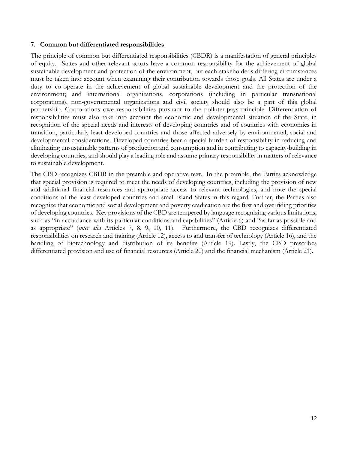#### 7. Common but differentiated responsibilities

The principle of common but differentiated responsibilities (CBDR) is a manifestation of general principles of equity. States and other relevant actors have a common responsibility for the achievement of global sustainable development and protection of the environment, but each stakeholder's differing circumstances must be taken into account when examining their contribution towards those goals. All States are under a duty to co-operate in the achievement of global sustainable development and the protection of the environment; and international organizations, corporations (including in particular transnational corporations), non-governmental organizations and civil society should also be a part of this global partnership. Corporations owe responsibilities pursuant to the polluter-pays principle. Differentiation of responsibilities must also take into account the economic and developmental situation of the State, in recognition of the special needs and interests of developing countries and of countries with economies in transition, particularly least developed countries and those affected adversely by environmental, social and developmental considerations. Developed countries bear a special burden of responsibility in reducing and eliminating unsustainable patterns of production and consumption and in contributing to capacity-building in developing countries, and should play a leading role and assume primary responsibility in matters of relevance to sustainable development.

The CBD recognizes CBDR in the preamble and operative text. In the preamble, the Parties acknowledge that special provision is required to meet the needs of developing countries, including the provision of new and additional financial resources and appropriate access to relevant technologies, and note the special conditions of the least developed countries and small island States in this regard. Further, the Parties also recognize that economic and social development and poverty eradication are the first and overriding priorities of developing countries. Key provisions of the CBD are tempered by language recognizing various limitations, such as "in accordance with its particular conditions and capabilities" (Article 6) and "as far as possible and as appropriate" (inter alia Articles 7, 8, 9, 10, 11). Furthermore, the CBD recognizes differentiated responsibilities on research and training (Article 12), access to and transfer of technology (Article 16), and the handling of biotechnology and distribution of its benefits (Article 19). Lastly, the CBD prescribes differentiated provision and use of financial resources (Article 20) and the financial mechanism (Article 21).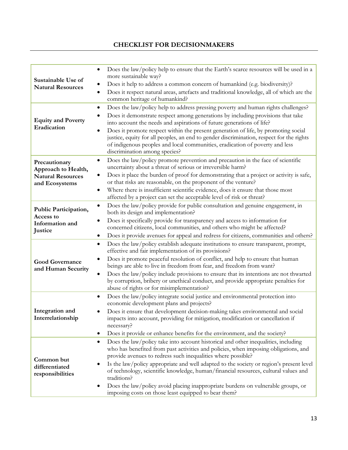# CHECKLIST FOR DECISIONMAKERS

| Sustainable Use of<br><b>Natural Resources</b>                                     | Does the law/policy help to ensure that the Earth's scarce resources will be used in a<br>more sustainable way?<br>Does it help to address a common concern of humankind (e.g. biodiversity)?<br>Does it respect natural areas, artefacts and traditional knowledge, all of which are the<br>common heritage of humankind?                                                                                                                                                                                                                                                                          |
|------------------------------------------------------------------------------------|-----------------------------------------------------------------------------------------------------------------------------------------------------------------------------------------------------------------------------------------------------------------------------------------------------------------------------------------------------------------------------------------------------------------------------------------------------------------------------------------------------------------------------------------------------------------------------------------------------|
| <b>Equity and Poverty</b><br>Eradication                                           | Does the law/policy help to address pressing poverty and human rights challenges?<br>Does it demonstrate respect among generations by including provisions that take<br>into account the needs and aspirations of future generations of life?<br>Does it promote respect within the present generation of life, by promoting social<br>justice, equity for all peoples, an end to gender discrimination, respect for the rights<br>of indigenous peoples and local communities, eradication of poverty and less<br>discrimination among species?                                                    |
| Precautionary<br>Approach to Health,<br><b>Natural Resources</b><br>and Ecosystems | Does the law/policy promote prevention and precaution in the face of scientific<br>$\bullet$<br>uncertainty about a threat of serious or irreversible harm?<br>Does it place the burden of proof for demonstrating that a project or activity is safe,<br>or that risks are reasonable, on the proponent of the venture?<br>Where there is insufficient scientific evidence, does it ensure that those most<br>affected by a project can set the acceptable level of risk or threat?                                                                                                                |
| Public Participation,<br>Access to<br>Information and<br>Justice                   | Does the law/policy provide for public consultation and genuine engagement, in<br>$\bullet$<br>both its design and implementation?<br>Does it specifically provide for transparency and access to information for<br>concerned citizens, local communities, and others who might be affected?<br>Does it provide avenues for appeal and redress for citizens, communities and others?<br>$\bullet$                                                                                                                                                                                                  |
| <b>Good Governance</b><br>and Human Security                                       | Does the law/policy establish adequate institutions to ensure transparent, prompt,<br>٠<br>effective and fair implementation of its provisions?<br>Does it promote peaceful resolution of conflict, and help to ensure that human<br>beings are able to live in freedom from fear, and freedom from want?<br>Does the law/policy include provisions to ensure that its intentions are not thwarted<br>by corruption, bribery or unethical conduct, and provide appropriate penalties for<br>abuse of rights or for misimplementation?                                                               |
| Integration and<br>Interrelationship                                               | Does the law/policy integrate social justice and environmental protection into<br>$\bullet$<br>economic development plans and projects?<br>Does it ensure that development decision-making takes environmental and social<br>impacts into account, providing for mitigation, modification or cancellation if<br>necessary?<br>Does it provide or enhance benefits for the environment, and the society?                                                                                                                                                                                             |
| Common but<br>differentiated<br>responsibilities                                   | Does the law/policy take into account historical and other inequalities, including<br>$\bullet$<br>who has benefited from past activities and policies, when imposing obligations, and<br>provide avenues to redress such inequalities where possible?<br>Is the law/policy appropriate and well adapted to the society or region's present level<br>of technology, scientific knowledge, human/financial resources, cultural values and<br>traditions?<br>Does the law/policy avoid placing inappropriate burdens on vulnerable groups, or<br>imposing costs on those least equipped to bear them? |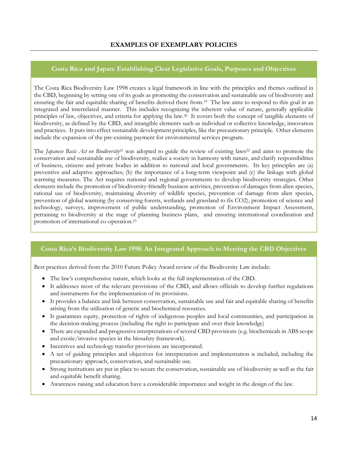#### Costa Rica and Japan: Establishing Clear Legislative Goals, Purposes and Objectives

The Costa Rica Biodiversity Law 1998 creates a legal framework in line with the principles and themes outlined in the CBD, beginning by setting one of its goals as promoting the conservation and sustainable use of biodiversity and ensuring the fair and equitable sharing of benefits derived there from.19 The law aims to respond to this goal in an integrated and interrelated manner. This includes recognizing the inherent value of nature, generally applicable principles of law, objectives, and criteria for applying the law.20 It covers both the concept of tangible elements of biodiversity, as defined by the CBD, and intangible elements such as individual or collective knowledge, innovation and practices. It puts into effect sustainable development principles, like the precautionary principle. Other elements include the expansion of the pre-existing payment for environmental services program.

The *Japanese Basic Act on Biodiversity*<sup>21</sup> was adopted to guide the review of existing laws<sup>22</sup> and aims to promote the conservation and sustainable use of biodiversity, realize a society in harmony with nature, and clarify responsibilities of business, citizens and private bodies in addition to national and local governments. Its key principles are (a) preventive and adaptive approaches; (b) the importance of a long-term viewpoint and (c) the linkage with global warming measures. The Act requires national and regional governments to develop biodiversity strategies. Other elements include the promotion of biodiversity-friendly business activities, prevention of damages from alien species, rational use of biodiversity, maintaining diversity of wildlife species, prevention of damage from alien species, prevention of global warming (by conserving forests, wetlands and grassland to fix CO2), promotion of science and technology, surveys, improvement of public understanding, promotion of Environment Impact Assessment, pertaining to biodiversity at the stage of planning business plans, and ensuring international coordination and promotion of international co-operation.<sup>23</sup>

#### Costa Rica's Biodiversity Law 1998: An Integrated Approach to Meeting the CBD Objectives

Best practices derived from the 2010 Future Policy Award review of the Biodiversity Law include:

- The law's comprehensive nature, which looks at the full implementation of the CBD.
- It addresses most of the relevant provisions of the CBD, and allows officials to develop further regulations and instruments for the implementation of its provisions.
- It provides a balance and link between conservation, sustainable use and fair and equitable sharing of benefits arising from the utilization of genetic and biochemical resources.
- It guarantees equity, protection of rights of indigenous peoples and local communities, and participation in the decision-making process (including the right to participate and over their knowledge)
- There are expanded and progressive interpretations of several CBD provisions (e.g. biochemicals in ABS scope and exotic/invasive species in the biosafety framework).
- Incentives and technology transfer provisions are incorporated.
- A set of guiding principles and objectives for interpretation and implementation is included, including the precautionary approach, conservation, and sustainable use.
- Strong institutions are put in place to secure the conservation, sustainable use of biodiversity as well as the fair and equitable benefit sharing.
- Awareness raising and education have a considerable importance and weight in the design of the law.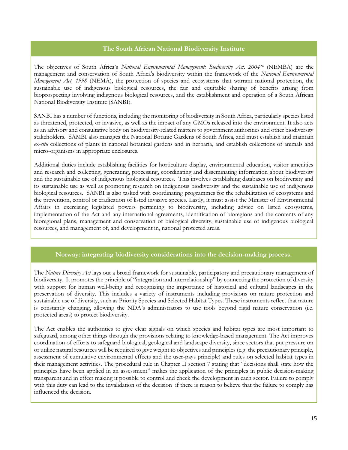#### The South African National Biodiversity Institute

The objectives of South Africa's National Environmental Management: Biodiversity Act, 2004<sup>24</sup> (NEMBA) are the management and conservation of South Africa's biodiversity within the framework of the National Environmental Management Act, 1998 (NEMA), the protection of species and ecosystems that warrant national protection, the sustainable use of indigenous biological resources, the fair and equitable sharing of benefits arising from bioprospecting involving indigenous biological resources, and the establishment and operation of a South African National Biodiversity Institute (SANBI).

SANBI has a number of functions, including the monitoring of biodiversity in South Africa, particularly species listed as threatened, protected, or invasive, as well as the impact of any GMOs released into the environment. It also acts as an advisory and consultative body on biodiversity-related matters to government authorities and other biodiversity stakeholders. SAMBI also manages the National Botanic Gardens of South Africa, and must establish and maintain ex-situ collections of plants in national botanical gardens and in herbaria, and establish collections of animals and micro-organisms in appropriate enclosures.

Additional duties include establishing facilities for horticulture display, environmental education, visitor amenities and research and collecting, generating, processing, coordinating and disseminating information about biodiversity and the sustainable use of indigenous biological resources. This involves establishing databases on biodiversity and its sustainable use as well as promoting research on indigenous biodiversity and the sustainable use of indigenous biological resources. SANBI is also tasked with coordinating programmes for the rehabilitation of ecosystems and the prevention, control or eradication of listed invasive species. Lastly, it must assist the Minister of Environmental Affairs in exercising legislated powers pertaining to biodiversity, including advice on listed ecosystems, implementation of the Act and any international agreements, identification of bioregions and the contents of any bioregional plans, management and conservation of biological diversity, sustainable use of indigenous biological resources, and management of, and development in, national protected areas.

#### Norway: integrating biodiversity considerations into the decision-making process.

The Nature Diversity Act lays out a broad framework for sustainable, participatory and precautionary management of biodiversity. It promotes the principle of "integration and interrelationship" by connecting the protection of diversity with support for human well-being and recognizing the importance of historical and cultural landscapes in the preservation of diversity. This includes a variety of instruments including provisions on nature protection and sustainable use of diversity, such as Priority Species and Selected Habitat Types. These instruments reflect that nature is constantly changing, allowing the NDA's administrators to use tools beyond rigid nature conservation (i.e. protected areas) to protect biodiversity.

The Act enables the authorities to give clear signals on which species and habitat types are most important to safeguard, among other things through the provisions relating to knowledge-based management. The Act improves coordination of efforts to safeguard biological, geological and landscape diversity, since sectors that put pressure on or utilize natural resources will be required to give weight to objectives and principles (e.g. the precautionary principle, assessment of cumulative environmental effects and the user-pays principle) and rules on selected habitat types in their management activities. The procedural rule in Chapter II section 7 stating that "decisions shall state how the principles have been applied in an assessment" makes the application of the principles in public decision-making transparent and in effect making it possible to control and check the development in each sector. Failure to comply with this duty can lead to the invalidation of the decision if there is reason to believe that the failure to comply has influenced the decision.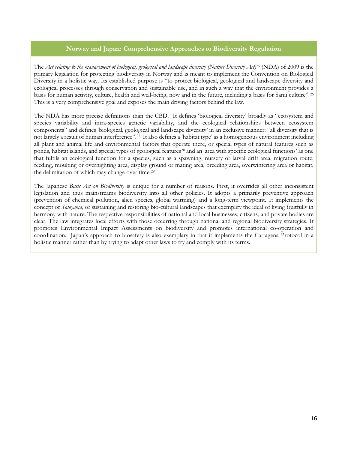#### Norway and Japan: Comprehensive Approaches to Biodiversity Regulation

The Act relating to the management of biological, geological and landscape diversity (Nature Diversity Act)<sup>25</sup> (NDA) of 2009 is the primary legislation for protecting biodiversity in Norway and is meant to implement the Convention on Biological Diversity in a holistic way. Its established purpose is "to protect biological, geological and landscape diversity and ecological processes through conservation and sustainable use, and in such a way that the environment provides a basis for human activity, culture, health and well-being, now and in the future, including a basis for Sami culture".<sup>26</sup> This is a very comprehensive goal and exposes the main driving factors behind the law.

The NDA has more precise definitions than the CBD. It defines 'biological diversity' broadly as "ecosystem and species variability and intra-species genetic variability, and the ecological relationships between ecosystem components" and defines 'biological, geological and landscape diversity' in an exclusive manner: "all diversity that is not largely a result of human interference".27 It also defines a 'habitat type' as a homogeneous environment including all plant and animal life and environmental factors that operate there, or special types of natural features such as ponds, habitat islands, and special types of geological features<sup>28</sup> and an 'area with specific ecological functions' as one that fulfils an ecological function for a species, such as a spawning, nursery or larval drift area, migration route, feeding, moulting or overnighting area, display ground or mating area, breeding area, overwintering area or habitat, the delimitation of which may change over time.<sup>29</sup>

The Japanese Basic Act on Biodiversity is unique for a number of reasons. First, it overrides all other inconsistent legislation and thus mainstreams biodiversity into all other policies. It adopts a primarily preventive approach (prevention of chemical pollution, alien species, global warming) and a long-term viewpoint. It implements the concept of Satoyama, or sustaining and restoring bio-cultural landscapes that exemplify the ideal of living fruitfully in harmony with nature. The respective responsibilities of national and local businesses, citizens, and private bodies are clear. The law integrates local efforts with those occurring through national and regional biodiversity strategies. It promotes Environmental Impact Assessments on biodiversity and promotes international co-operation and coordination. Japan's approach to biosafety is also exemplary in that it implements the Cartagena Protocol in a holistic manner rather than by trying to adapt other laws to try and comply with its terms.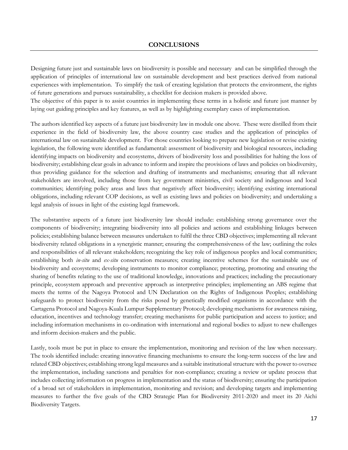Designing future just and sustainable laws on biodiversity is possible and necessary and can be simplified through the application of principles of international law on sustainable development and best practices derived from national experiences with implementation. To simplify the task of creating legislation that protects the environment, the rights of future generations and pursues sustainability, a checklist for decision makers is provided above.

The objective of this paper is to assist countries in implementing these terms in a holistic and future just manner by laying out guiding principles and key features, as well as by highlighting exemplary cases of implementation.

The authors identified key aspects of a future just biodiversity law in module one above. These were distilled from their experience in the field of biodiversity law, the above country case studies and the application of principles of international law on sustainable development. For those countries looking to prepare new legislation or revise existing legislation, the following were identified as fundamental: assessment of biodiversity and biological resources, including identifying impacts on biodiversity and ecosystems, drivers of biodiversity loss and possibilities for halting the loss of biodiversity; establishing clear goals in advance to inform and inspire the provisions of laws and policies on biodiversity, thus providing guidance for the selection and drafting of instruments and mechanisms; ensuring that all relevant stakeholders are involved, including those from key government ministries, civil society and indigenous and local communities; identifying policy areas and laws that negatively affect biodiversity; identifying existing international obligations, including relevant COP decisions, as well as existing laws and policies on biodiversity; and undertaking a legal analysis of issues in light of the existing legal framework.

The substantive aspects of a future just biodiversity law should include: establishing strong governance over the components of biodiversity; integrating biodiversity into all policies and actions and establishing linkages between policies; establishing balance between measures undertaken to fulfil the three CBD objectives; implementing all relevant biodiversity related obligations in a synergistic manner; ensuring the comprehensiveness of the law; outlining the roles and responsibilities of all relevant stakeholders; recognizing the key role of indigenous peoples and local communities; establishing both *in-situ* and ex-situ conservation measures; creating incentive schemes for the sustainable use of biodiversity and ecosystems; developing instruments to monitor compliance; protecting, promoting and ensuring the sharing of benefits relating to the use of traditional knowledge, innovations and practices; including the precautionary principle, ecosystem approach and preventive approach as interpretive principles; implementing an ABS regime that meets the terms of the Nagoya Protocol and UN Declaration on the Rights of Indigenous Peoples; establishing safeguards to protect biodiversity from the risks posed by genetically modified organisms in accordance with the Cartagena Protocol and Nagoya-Kuala Lumpur Supplementary Protocol; developing mechanisms for awareness raising, education, incentives and technology transfer; creating mechanisms for public participation and access to justice; and including information mechanisms in co-ordination with international and regional bodies to adjust to new challenges and inform decision-makers and the public.

Lastly, tools must be put in place to ensure the implementation, monitoring and revision of the law when necessary. The tools identified include: creating innovative financing mechanisms to ensure the long-term success of the law and related CBD objectives; establishing strong legal measures and a suitable institutional structure with the power to oversee the implementation, including sanctions and penalties for non-compliance; creating a review or update process that includes collecting information on progress in implementation and the status of biodiversity; ensuring the participation of a broad set of stakeholders in implementation, monitoring and revision; and developing targets and implementing measures to further the five goals of the CBD Strategic Plan for Biodiversity 2011-2020 and meet its 20 Aichi Biodiversity Targets.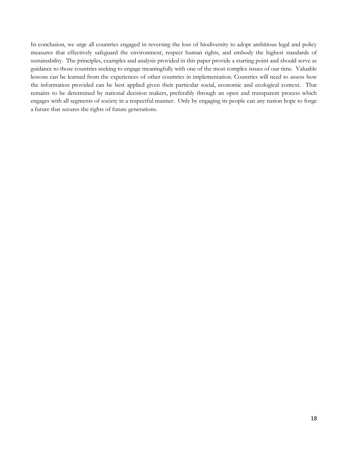In conclusion, we urge all countries engaged in reversing the loss of biodiversity to adopt ambitious legal and policy measures that effectively safeguard the environment, respect human rights, and embody the highest standards of sustainability. The principles, examples and analysis provided in this paper provide a starting point and should serve as guidance to those countries seeking to engage meaningfully with one of the most complex issues of our time. Valuable lessons can be learned from the experiences of other countries in implementation. Countries will need to assess how the information provided can be best applied given their particular social, economic and ecological context. That remains to be determined by national decision makers, preferably through an open and transparent process which engages with all segments of society in a respectful manner. Only by engaging its people can any nation hope to forge a future that secures the rights of future generations.